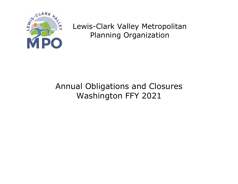

Lewis-Clark Valley Metropolitan Planning Organization

## Annual Obligations and Closures Washington FFY 2021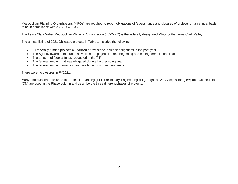Metropolitan Planning Organizations (MPOs) are required to report obligations of federal funds and closures of projects on an annual basis to be in compliance with 23 CFR 450.332.

The Lewis Clark Valley Metropolitan Planning Organization (LCVMPO) is the federally designated MPO for the Lewis Clark Valley.

The annual listing of 2021 Obligated projects in Table 1 includes the following:

- All federally funded projects authorized or revised to increase obligations in the past year
- The Agency awarded the funds as well as the project title and beginning and ending termini if applicable
- The amount of federal funds requested in the TIP
- The federal funding that was obligated during the preceding year
- The federal funding remaining and available for subsequent years.

There were no closures in FY2021.

Many abbreviations are used in Tables 1. Planning (PL), Preliminary Engineering (PE), Right of Way Acquisition (RW) and Construction (CN) are used in the Phase column and describe the three different phases of projects.